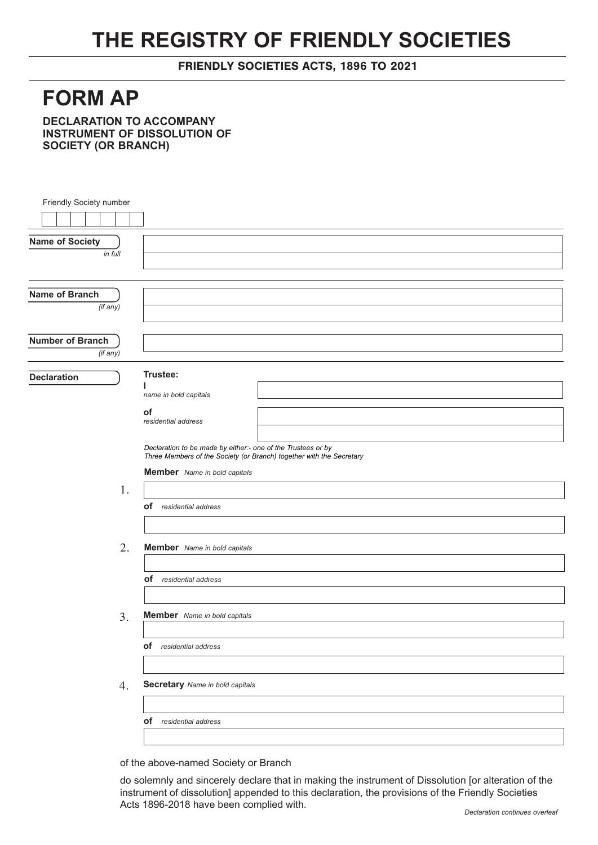## **THE REGISTRY OF FRIENDLY SOCIETIES**

FRIENDLY SOCIETIES ACTS, 1896 TO 2021

## **FORM AP**

**DECLARATION TO ACCOMPANY INSTRUMENT OF DISSOLUTION OF SOCIETY (OR BRANCH)**

| Friendly Society number |                                                                                                                                      |
|-------------------------|--------------------------------------------------------------------------------------------------------------------------------------|
|                         |                                                                                                                                      |
|                         |                                                                                                                                      |
| <b>Name of Society</b>  |                                                                                                                                      |
| in full                 |                                                                                                                                      |
|                         |                                                                                                                                      |
| Name of Branch          |                                                                                                                                      |
| (if any)                |                                                                                                                                      |
|                         |                                                                                                                                      |
| <b>Number of Branch</b> |                                                                                                                                      |
| (if any)                |                                                                                                                                      |
|                         |                                                                                                                                      |
| <b>Declaration</b>      | Trustee:                                                                                                                             |
|                         | name in bold capitals                                                                                                                |
|                         | of                                                                                                                                   |
|                         | residential address                                                                                                                  |
|                         |                                                                                                                                      |
|                         | Declaration to be made by either:- one of the Trustees or by<br>Three Members of the Society (or Branch) together with the Secretary |
|                         | <b>Member</b> Name in bold capitals                                                                                                  |
| 1.                      |                                                                                                                                      |
|                         | <b>of</b> residential address                                                                                                        |
|                         |                                                                                                                                      |
|                         |                                                                                                                                      |
| 2.                      | Member Name in bold capitals                                                                                                         |
|                         |                                                                                                                                      |
|                         | of residential address                                                                                                               |
|                         |                                                                                                                                      |
|                         |                                                                                                                                      |
| 3.                      | <b>Member</b> Name in bold capitals                                                                                                  |
|                         |                                                                                                                                      |
|                         | of residential address                                                                                                               |
|                         |                                                                                                                                      |
|                         | <b>Secretary</b> Name in bold capitals                                                                                               |
| 4.                      |                                                                                                                                      |
|                         |                                                                                                                                      |
|                         | of residential address                                                                                                               |
|                         |                                                                                                                                      |

of the above-named Society or Branch

do solemnly and sincerely declare that in making the instrument of Dissolution [or alteration of the instrument of dissolution] appended to this declaration, the provisions of the Friendly Societies Acts 1896-2018 have been complied with.